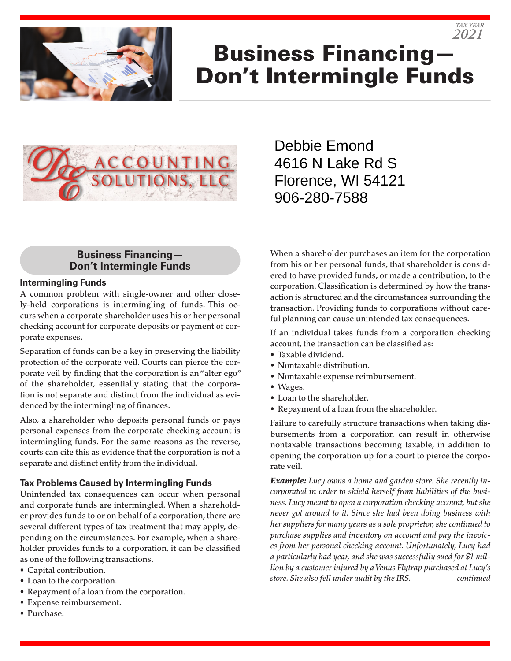

# Business Financing— Don't Intermingle Funds



## Debbie Emond 4616 N Lake Rd S Florence, WI 54121 906-280-7588

#### **Business Financing— Don't Intermingle Funds**

#### **Intermingling Funds**

A common problem with single-owner and other closely-held corporations is intermingling of funds. This occurs when a corporate shareholder uses his or her personal checking account for corporate deposits or payment of corporate expenses.

Separation of funds can be a key in preserving the liability protection of the corporate veil. Courts can pierce the corporate veil by finding that the corporation is an "alter ego" of the shareholder, essentially stating that the corporation is not separate and distinct from the individual as evidenced by the intermingling of finances.

Also, a shareholder who deposits personal funds or pays personal expenses from the corporate checking account is intermingling funds. For the same reasons as the reverse, courts can cite this as evidence that the corporation is not a separate and distinct entity from the individual.

#### **Tax Problems Caused by Intermingling Funds**

Unintended tax consequences can occur when personal and corporate funds are intermingled. When a shareholder provides funds to or on behalf of a corporation, there are several different types of tax treatment that may apply, depending on the circumstances. For example, when a shareholder provides funds to a corporation, it can be classified as one of the following transactions.

- Capital contribution.
- Loan to the corporation.
- Repayment of a loan from the corporation.
- Expense reimbursement.
- Purchase.

When a shareholder purchases an item for the corporation from his or her personal funds, that shareholder is considered to have provided funds, or made a contribution, to the corporation. Classification is determined by how the transaction is structured and the circumstances surrounding the transaction. Providing funds to corporations without careful planning can cause unintended tax consequences.

*TAX YEAR 2021*

If an individual takes funds from a corporation checking account, the transaction can be classified as:

- Taxable dividend.
- Nontaxable distribution.
- Nontaxable expense reimbursement.
- Wages.
- Loan to the shareholder.
- Repayment of a loan from the shareholder.

Failure to carefully structure transactions when taking disbursements from a corporation can result in otherwise nontaxable transactions becoming taxable, in addition to opening the corporation up for a court to pierce the corporate veil.

*Example: Lucy owns a home and garden store. She recently incorporated in order to shield herself from liabilities of the business. Lucy meant to open a corporation checking account, but she never got around to it. Since she had been doing business with her suppliers for many years as a sole proprietor, she continued to purchase supplies and inventory on account and pay the invoices from her personal checking account. Unfortunately, Lucy had a particularly bad year, and she was successfully sued for \$1 million by a customer injured by a Venus Flytrap purchased at Lucy's store. She also fell under audit by the IRS. continued*